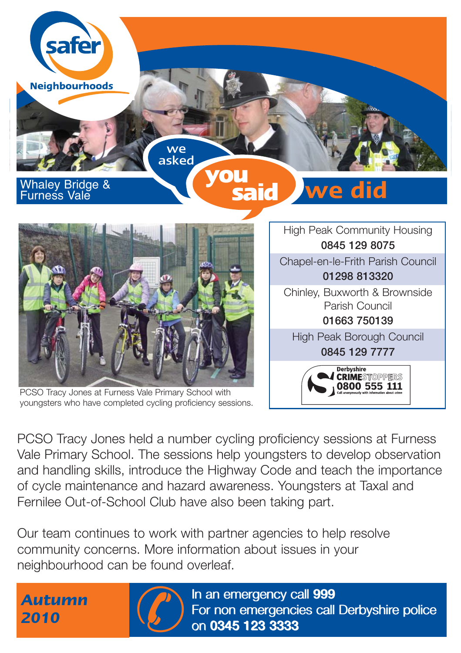

FORD Tracy Jones at Furness Vale Primary School with<br>PCSO Tracy Jones held a number cycling proficiency sessions at Furness<br>Vale Primary School. The sessions help youngsters to develop observation<br>and handling skills, intr PCSO Tracy Jones held a number cycling proficiency sessions at Furness Vale Primary School. The sessions help youngsters to develop observation and handling skills, introduce the Highway Code and teach the importance of cycle maintenance and hazard awareness. Youngsters at Taxal and Fernilee Out-of-School Club have also been taking part.

Our team continues to work with partner agencies to help resolve community concerns. More information about issues in your neighbourhood can be found overleaf.

*Autumn*



In an emergency call 999 In an emergency call 999 For non emergencies call Derbyshire police on 0345 123 3333